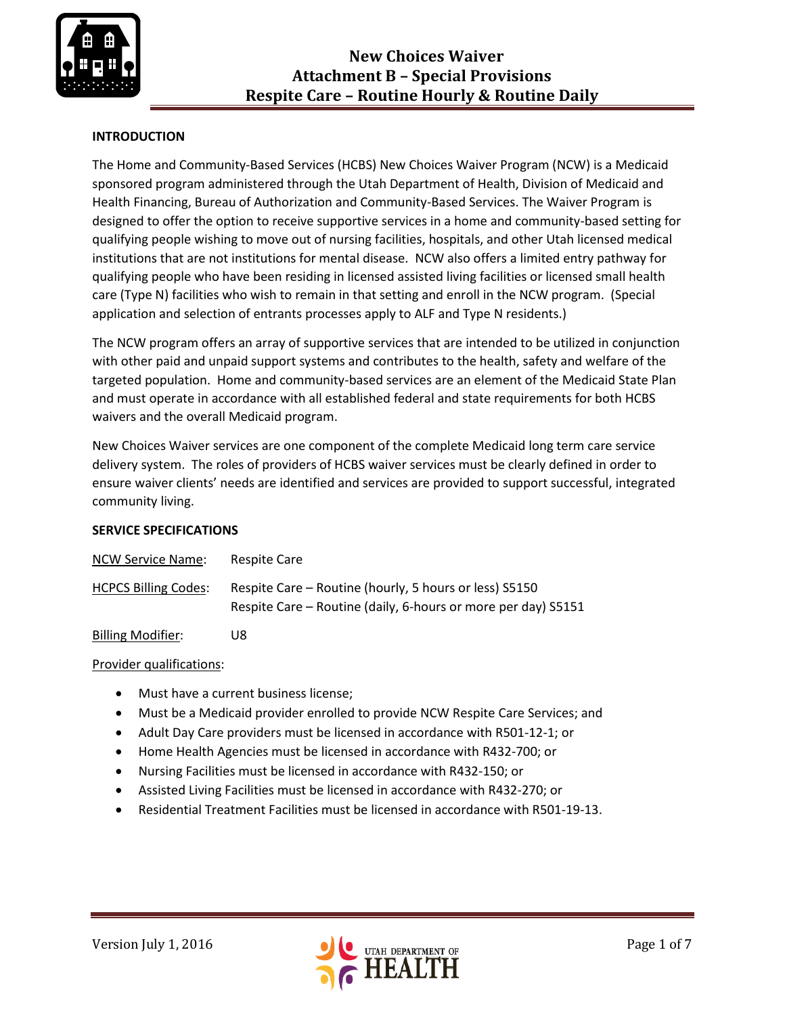

# **INTRODUCTION**

The Home and Community-Based Services (HCBS) New Choices Waiver Program (NCW) is a Medicaid sponsored program administered through the Utah Department of Health, Division of Medicaid and Health Financing, Bureau of Authorization and Community-Based Services. The Waiver Program is designed to offer the option to receive supportive services in a home and community-based setting for qualifying people wishing to move out of nursing facilities, hospitals, and other Utah licensed medical institutions that are not institutions for mental disease. NCW also offers a limited entry pathway for qualifying people who have been residing in licensed assisted living facilities or licensed small health care (Type N) facilities who wish to remain in that setting and enroll in the NCW program. (Special application and selection of entrants processes apply to ALF and Type N residents.)

The NCW program offers an array of supportive services that are intended to be utilized in conjunction with other paid and unpaid support systems and contributes to the health, safety and welfare of the targeted population. Home and community-based services are an element of the Medicaid State Plan and must operate in accordance with all established federal and state requirements for both HCBS waivers and the overall Medicaid program.

New Choices Waiver services are one component of the complete Medicaid long term care service delivery system. The roles of providers of HCBS waiver services must be clearly defined in order to ensure waiver clients' needs are identified and services are provided to support successful, integrated community living.

#### **SERVICE SPECIFICATIONS**

| NCW Service Name:           | Respite Care                                                                                                            |
|-----------------------------|-------------------------------------------------------------------------------------------------------------------------|
| <b>HCPCS Billing Codes:</b> | Respite Care – Routine (hourly, 5 hours or less) S5150<br>Respite Care – Routine (daily, 6-hours or more per day) S5151 |

Billing Modifier: U8

Provider qualifications:

- Must have a current business license;
- Must be a Medicaid provider enrolled to provide NCW Respite Care Services; and
- Adult Day Care providers must be licensed in accordance with R501-12-1; or
- Home Health Agencies must be licensed in accordance with R432-700; or
- Nursing Facilities must be licensed in accordance with R432-150; or
- Assisted Living Facilities must be licensed in accordance with R432-270; or
- Residential Treatment Facilities must be licensed in accordance with R501-19-13.

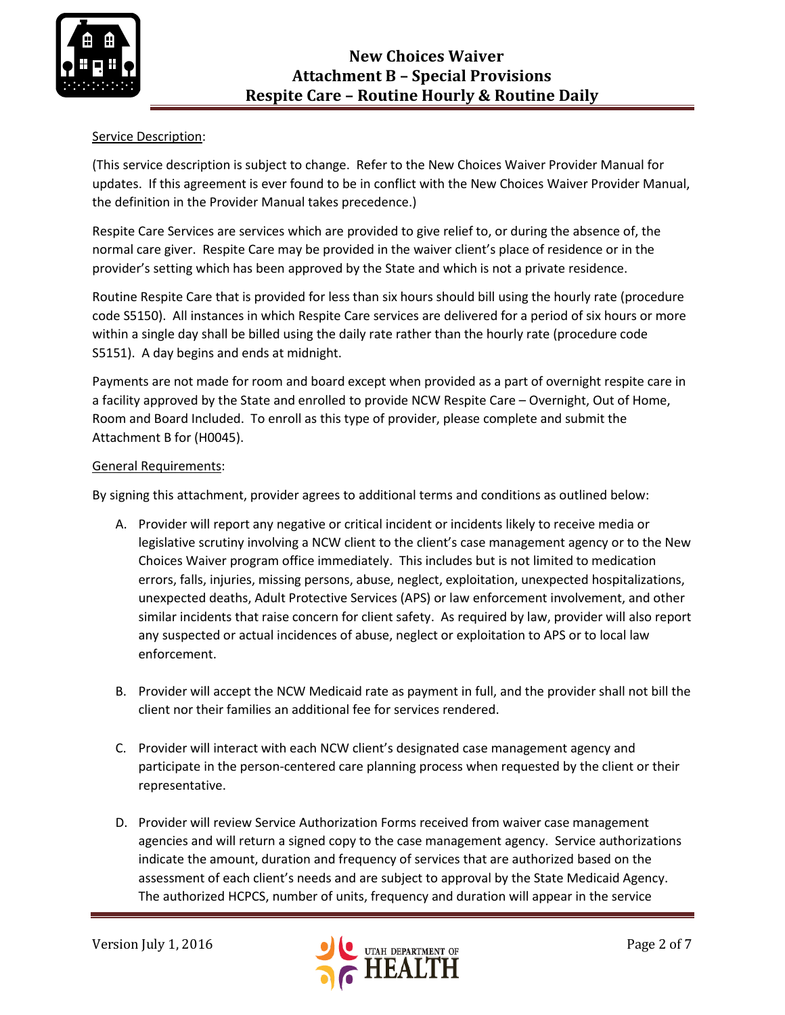

## Service Description:

(This service description is subject to change. Refer to the New Choices Waiver Provider Manual for updates. If this agreement is ever found to be in conflict with the New Choices Waiver Provider Manual, the definition in the Provider Manual takes precedence.)

Respite Care Services are services which are provided to give relief to, or during the absence of, the normal care giver. Respite Care may be provided in the waiver client's place of residence or in the provider's setting which has been approved by the State and which is not a private residence.

Routine Respite Care that is provided for less than six hours should bill using the hourly rate (procedure code S5150). All instances in which Respite Care services are delivered for a period of six hours or more within a single day shall be billed using the daily rate rather than the hourly rate (procedure code S5151). A day begins and ends at midnight.

Payments are not made for room and board except when provided as a part of overnight respite care in a facility approved by the State and enrolled to provide NCW Respite Care – Overnight, Out of Home, Room and Board Included. To enroll as this type of provider, please complete and submit the Attachment B for (H0045).

### General Requirements:

By signing this attachment, provider agrees to additional terms and conditions as outlined below:

- A. Provider will report any negative or critical incident or incidents likely to receive media or legislative scrutiny involving a NCW client to the client's case management agency or to the New Choices Waiver program office immediately. This includes but is not limited to medication errors, falls, injuries, missing persons, abuse, neglect, exploitation, unexpected hospitalizations, unexpected deaths, Adult Protective Services (APS) or law enforcement involvement, and other similar incidents that raise concern for client safety. As required by law, provider will also report any suspected or actual incidences of abuse, neglect or exploitation to APS or to local law enforcement.
- B. Provider will accept the NCW Medicaid rate as payment in full, and the provider shall not bill the client nor their families an additional fee for services rendered.
- C. Provider will interact with each NCW client's designated case management agency and participate in the person-centered care planning process when requested by the client or their representative.
- D. Provider will review Service Authorization Forms received from waiver case management agencies and will return a signed copy to the case management agency. Service authorizations indicate the amount, duration and frequency of services that are authorized based on the assessment of each client's needs and are subject to approval by the State Medicaid Agency. The authorized HCPCS, number of units, frequency and duration will appear in the service

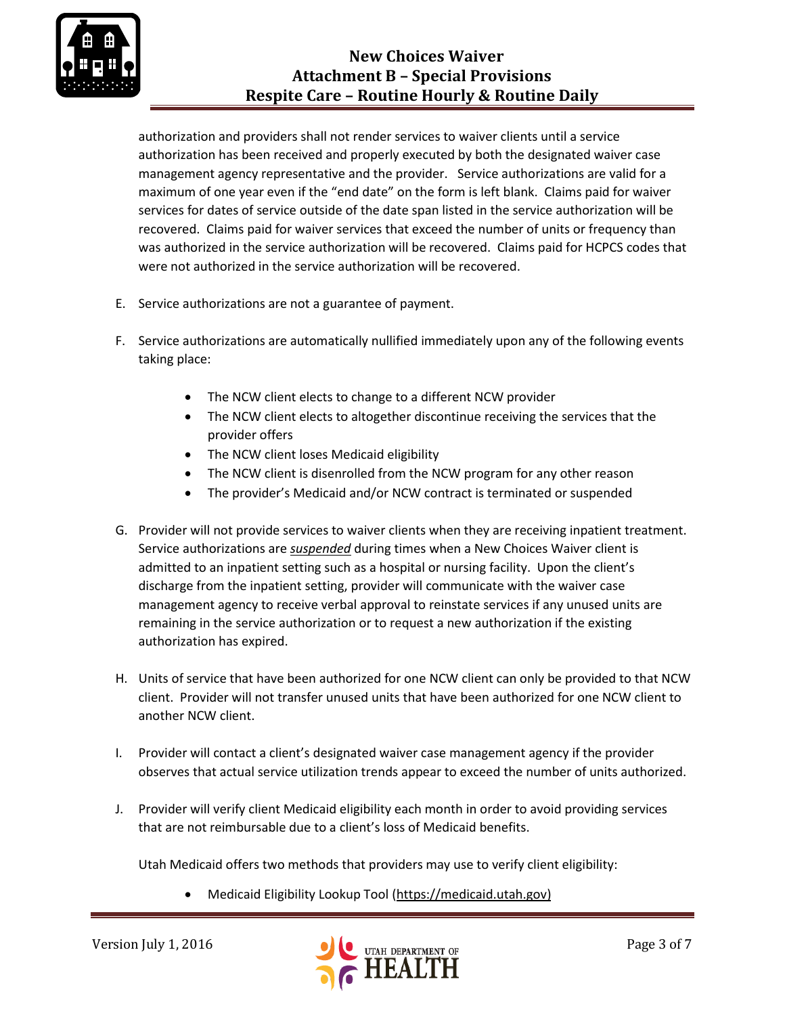

authorization and providers shall not render services to waiver clients until a service authorization has been received and properly executed by both the designated waiver case management agency representative and the provider. Service authorizations are valid for a maximum of one year even if the "end date" on the form is left blank. Claims paid for waiver services for dates of service outside of the date span listed in the service authorization will be recovered. Claims paid for waiver services that exceed the number of units or frequency than was authorized in the service authorization will be recovered. Claims paid for HCPCS codes that were not authorized in the service authorization will be recovered.

- E. Service authorizations are not a guarantee of payment.
- F. Service authorizations are automatically nullified immediately upon any of the following events taking place:
	- The NCW client elects to change to a different NCW provider
	- The NCW client elects to altogether discontinue receiving the services that the provider offers
	- The NCW client loses Medicaid eligibility
	- The NCW client is disenrolled from the NCW program for any other reason
	- The provider's Medicaid and/or NCW contract is terminated or suspended
- G. Provider will not provide services to waiver clients when they are receiving inpatient treatment. Service authorizations are *suspended* during times when a New Choices Waiver client is admitted to an inpatient setting such as a hospital or nursing facility. Upon the client's discharge from the inpatient setting, provider will communicate with the waiver case management agency to receive verbal approval to reinstate services if any unused units are remaining in the service authorization or to request a new authorization if the existing authorization has expired.
- H. Units of service that have been authorized for one NCW client can only be provided to that NCW client. Provider will not transfer unused units that have been authorized for one NCW client to another NCW client.
- I. Provider will contact a client's designated waiver case management agency if the provider observes that actual service utilization trends appear to exceed the number of units authorized.
- J. Provider will verify client Medicaid eligibility each month in order to avoid providing services that are not reimbursable due to a client's loss of Medicaid benefits.

Utah Medicaid offers two methods that providers may use to verify client eligibility:

Medicaid Eligibility Lookup Tool [\(https://medicaid.utah.gov\)](https://medicaid.utah.gov/)

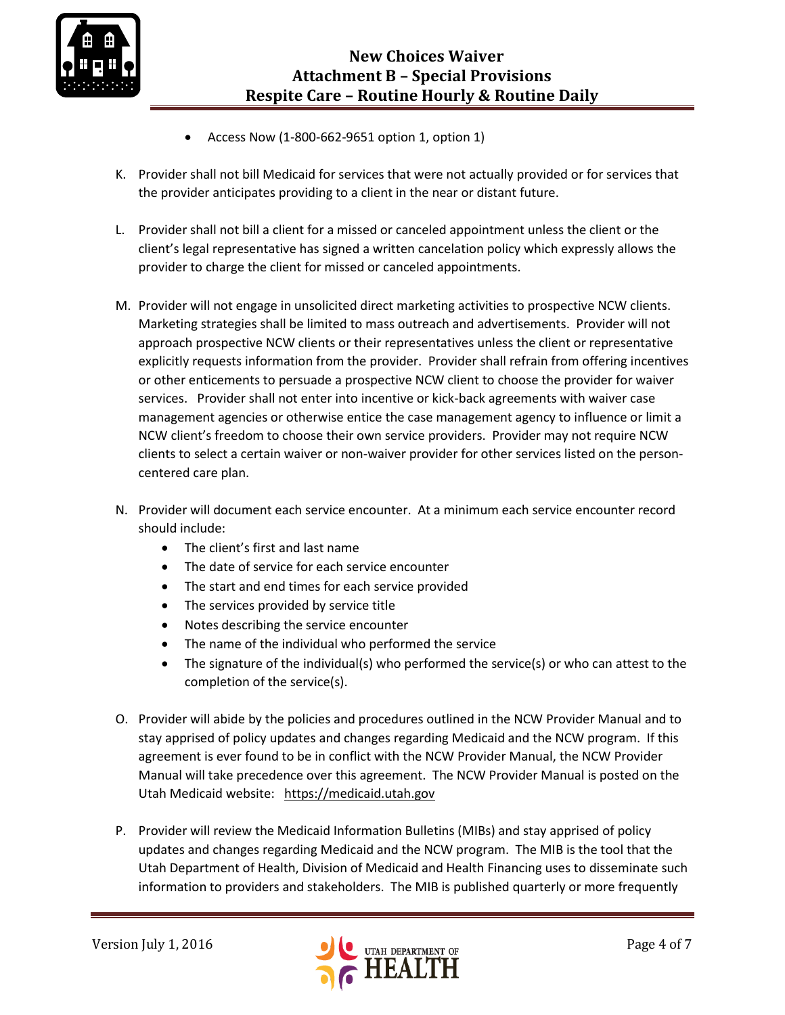

- Access Now (1-800-662-9651 option 1, option 1)
- K. Provider shall not bill Medicaid for services that were not actually provided or for services that the provider anticipates providing to a client in the near or distant future.
- L. Provider shall not bill a client for a missed or canceled appointment unless the client or the client's legal representative has signed a written cancelation policy which expressly allows the provider to charge the client for missed or canceled appointments.
- M. Provider will not engage in unsolicited direct marketing activities to prospective NCW clients. Marketing strategies shall be limited to mass outreach and advertisements. Provider will not approach prospective NCW clients or their representatives unless the client or representative explicitly requests information from the provider. Provider shall refrain from offering incentives or other enticements to persuade a prospective NCW client to choose the provider for waiver services. Provider shall not enter into incentive or kick-back agreements with waiver case management agencies or otherwise entice the case management agency to influence or limit a NCW client's freedom to choose their own service providers. Provider may not require NCW clients to select a certain waiver or non-waiver provider for other services listed on the personcentered care plan.
- N. Provider will document each service encounter. At a minimum each service encounter record should include:
	- The client's first and last name
	- The date of service for each service encounter
	- The start and end times for each service provided
	- The services provided by service title
	- Notes describing the service encounter
	- The name of the individual who performed the service
	- The signature of the individual(s) who performed the service(s) or who can attest to the completion of the service(s).
- O. Provider will abide by the policies and procedures outlined in the NCW Provider Manual and to stay apprised of policy updates and changes regarding Medicaid and the NCW program. If this agreement is ever found to be in conflict with the NCW Provider Manual, the NCW Provider Manual will take precedence over this agreement. The NCW Provider Manual is posted on the Utah Medicaid website: [https://medicaid.utah.gov](https://medicaid.utah.gov/)
- P. Provider will review the Medicaid Information Bulletins (MIBs) and stay apprised of policy updates and changes regarding Medicaid and the NCW program. The MIB is the tool that the Utah Department of Health, Division of Medicaid and Health Financing uses to disseminate such information to providers and stakeholders. The MIB is published quarterly or more frequently

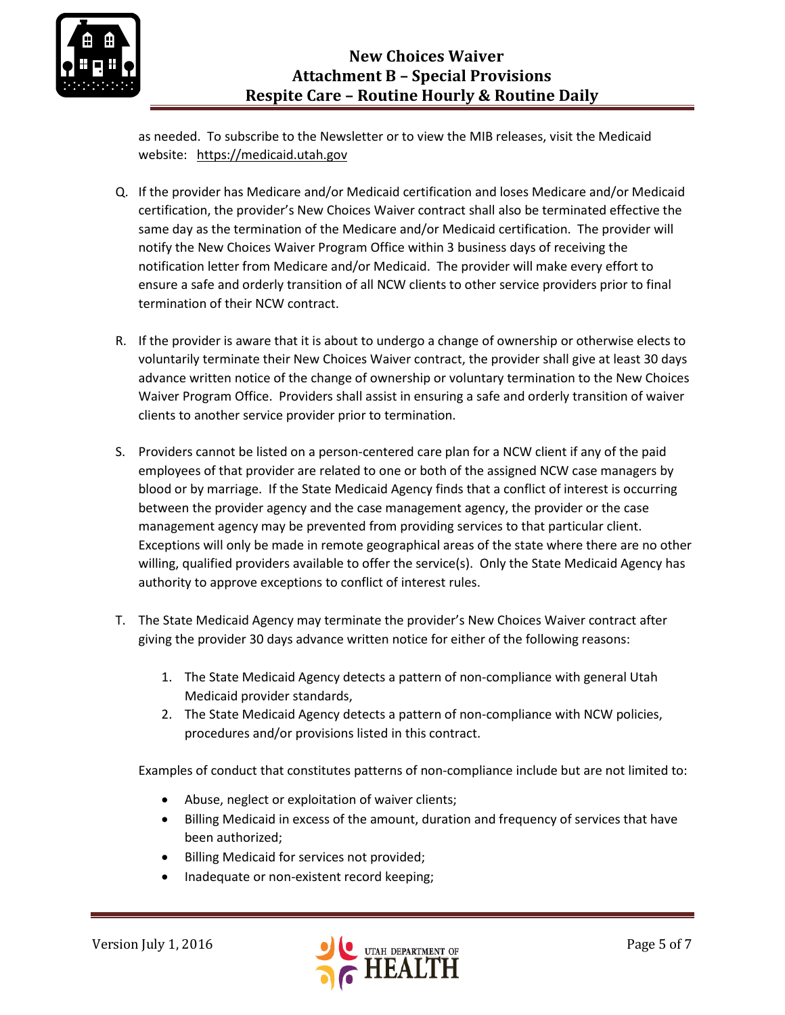as needed. To subscribe to the Newsletter or to view the MIB releases, visit the Medicaid website: [https://medicaid.utah.gov](https://medicaid.utah.gov/)

- Q. If the provider has Medicare and/or Medicaid certification and loses Medicare and/or Medicaid certification, the provider's New Choices Waiver contract shall also be terminated effective the same day as the termination of the Medicare and/or Medicaid certification. The provider will notify the New Choices Waiver Program Office within 3 business days of receiving the notification letter from Medicare and/or Medicaid. The provider will make every effort to ensure a safe and orderly transition of all NCW clients to other service providers prior to final termination of their NCW contract.
- R. If the provider is aware that it is about to undergo a change of ownership or otherwise elects to voluntarily terminate their New Choices Waiver contract, the provider shall give at least 30 days advance written notice of the change of ownership or voluntary termination to the New Choices Waiver Program Office. Providers shall assist in ensuring a safe and orderly transition of waiver clients to another service provider prior to termination.
- S. Providers cannot be listed on a person-centered care plan for a NCW client if any of the paid employees of that provider are related to one or both of the assigned NCW case managers by blood or by marriage. If the State Medicaid Agency finds that a conflict of interest is occurring between the provider agency and the case management agency, the provider or the case management agency may be prevented from providing services to that particular client. Exceptions will only be made in remote geographical areas of the state where there are no other willing, qualified providers available to offer the service(s). Only the State Medicaid Agency has authority to approve exceptions to conflict of interest rules.
- T. The State Medicaid Agency may terminate the provider's New Choices Waiver contract after giving the provider 30 days advance written notice for either of the following reasons:
	- 1. The State Medicaid Agency detects a pattern of non-compliance with general Utah Medicaid provider standards,
	- 2. The State Medicaid Agency detects a pattern of non-compliance with NCW policies, procedures and/or provisions listed in this contract.

Examples of conduct that constitutes patterns of non-compliance include but are not limited to:

- Abuse, neglect or exploitation of waiver clients;
- Billing Medicaid in excess of the amount, duration and frequency of services that have been authorized;
- Billing Medicaid for services not provided;
- Inadequate or non-existent record keeping;

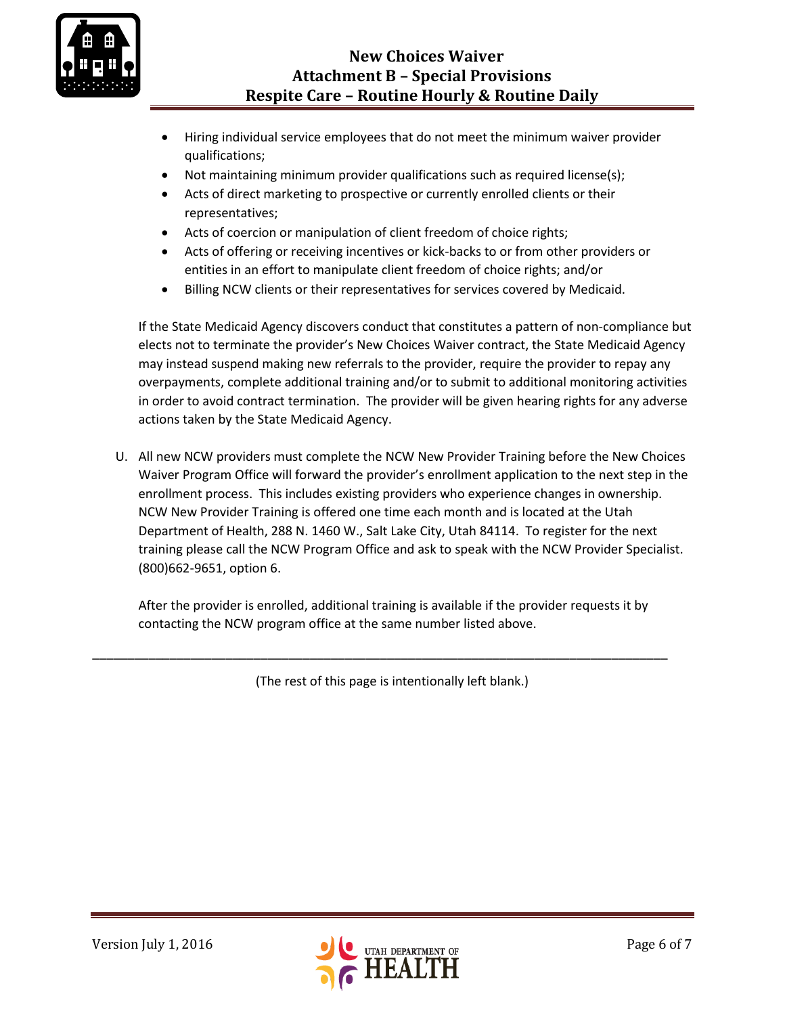

- Hiring individual service employees that do not meet the minimum waiver provider qualifications;
- Not maintaining minimum provider qualifications such as required license(s);
- Acts of direct marketing to prospective or currently enrolled clients or their representatives;
- Acts of coercion or manipulation of client freedom of choice rights;
- Acts of offering or receiving incentives or kick-backs to or from other providers or entities in an effort to manipulate client freedom of choice rights; and/or
- Billing NCW clients or their representatives for services covered by Medicaid.

If the State Medicaid Agency discovers conduct that constitutes a pattern of non-compliance but elects not to terminate the provider's New Choices Waiver contract, the State Medicaid Agency may instead suspend making new referrals to the provider, require the provider to repay any overpayments, complete additional training and/or to submit to additional monitoring activities in order to avoid contract termination. The provider will be given hearing rights for any adverse actions taken by the State Medicaid Agency.

U. All new NCW providers must complete the NCW New Provider Training before the New Choices Waiver Program Office will forward the provider's enrollment application to the next step in the enrollment process. This includes existing providers who experience changes in ownership. NCW New Provider Training is offered one time each month and is located at the Utah Department of Health, 288 N. 1460 W., Salt Lake City, Utah 84114. To register for the next training please call the NCW Program Office and ask to speak with the NCW Provider Specialist. (800)662-9651, option 6.

After the provider is enrolled, additional training is available if the provider requests it by contacting the NCW program office at the same number listed above.

(The rest of this page is intentionally left blank.)

\_\_\_\_\_\_\_\_\_\_\_\_\_\_\_\_\_\_\_\_\_\_\_\_\_\_\_\_\_\_\_\_\_\_\_\_\_\_\_\_\_\_\_\_\_\_\_\_\_\_\_\_\_\_\_\_\_\_\_\_\_\_\_\_\_\_\_\_\_\_\_\_\_\_\_\_\_\_\_\_\_\_